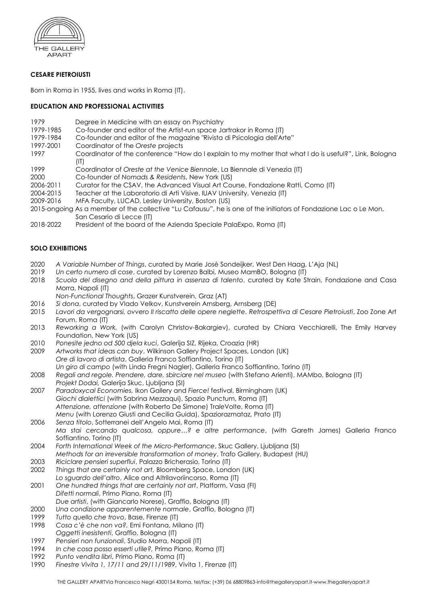

# **CESARE PIETROIUSTI**

Born in Roma in 1955, lives and works in Roma (IT).

### **EDUCATION AND PROFESSIONAL ACTIVITIES**

- 1979 Degree in Medicine with an essay on Psychiatry<br>1979-1985 Co-founder and editor of the Artist-run space Id
- Co-founder and editor of the Artist-run space Jartrakor in Roma (IT)
- 1979-1984 Co-founder and editor of the magazine "Rivista di Psicologia dell'Arte"
- 1997-2001 Coordinator of the *Oreste* projects
- 1997 Coordinator of the conference "How do I explain to my mother that what I do is useful?", Link, Bologna  $(IT)$
- 1999 Coordinator of *Oreste at the Venice Biennale*, La Biennale di Venezia (IT)
- 2000 Co-founder of *Nomads & Residents*, New York (US)
- 2006-2011 Curator for the CSAV, the Advanced Visual Art Course, Fondazione Ratti, Como (IT)
- 2004-2015 Teacher at the Laboratorio di Arti Visive, IUAV University, Venezia (IT)
- 2009-2016 MFA Faculty, LUCAD, Lesley University, Boston (US)
- 2015-ongoing As a member of the collective "Lu Cafausu", he is one of the initiators of Fondazione Lac o Le Mon, San Cesario di Lecce (IT)
- 2018-2022 President of the board of the Azienda Speciale PalaExpo, Roma (IT)

## **SOLO EXHIBITIONS**

- 2020 *A Variable Number of Things*, curated by Marie Josè Sondeijker, West Den Haag, L'Aja (NL)
- 2019 *Un certo numero di cose*, curated by Lorenzo Balbi, Museo MamBO, Bologna (IT)
- 2018 *Scuola del disegno and della pittura in assenza di talento*, curated by Kate Strain, Fondazione and Casa Morra, Napoli (IT)
	- *Non-Functional Thoughts*, Grazer Kunstverein, Graz (AT)
- 2016 *Si dona*, curated by Vlado Velkov, Kunstverein Arnsberg, Arnsberg (DE)
- 2015 *Lavori da vergognarsi, ovvero Il riscatto delle opere neglette. Retrospettiva di Cesare Pietroiusti*, Zoo Zone Art Forum, Roma (IT)
- 2013 *Reworking a Work,* (with Carolyn Christov-Bakargiev), curated by Chiara Vecchiarelli, The Emily Harvey Foundation, New York (US)
- 2010 *Ponesite jedno od 500 djela kuci*, Galerija SIZ, Rijeka, Croazia (HR)
- 2009 *Artworks that ideas can buy*, Wilkinson Gallery Project Spaces, London (UK) *Ore di lavoro di artista*, Galleria Franco Soffiantino, Torino (IT) *Un giro di campo* (with Linda Fregni Nagler), Galleria Franco Soffiantino, Torino (IT)
- 2008 *Regali and regole. Prendere, dare, sbirciare nel museo* (with Stefano Arienti), MAMbo, Bologna (IT)
- *Projekt Dodai,* Galerija Skuc, Ljubljana (SI) 2007 *Paradoxycal Economies,* Ikon Gallery and *Fierce!* festival, Birmingham (UK) *Giochi dialettici* (with Sabrina Mezzaqui), Spazio Punctum, Roma (IT) *Attenzione, attenzione* (with Roberto De Simone) Tra*le*Volte, Roma (IT) *Menu* (with Lorenzo Giusti and Cecilia Guida), Spaziorazmataz, Prato (IT)
- 2006 *Senza titolo*, Sotterranei dell'Angelo Mai, Roma (IT) *Ma stai cercando qualcosa, oppure…? e altre performance*, (with Gareth James) Galleria Franco Soffiantino, Torino (IT)
- 2004 *Forth International Week of the Micro-Performance*, Skuc Gallery, Ljubljana (SI) *Methods for an irreversible transformation of money*, Trafo Gallery, Budapest (HU)
- 2003 *Riciclare pensieri superflui*, Palazzo Bricherasio, Torino (IT)
- 2002 *Things that are certainly not art,* Bloomberg Space, London (UK) *Lo sguardo dell'altro*, Alice and Altrilavoriincorso, Roma (IT)
- 2001 *One hundred things that are certainly not a*r*t*, Platform, Vasa (FI) *Difetti normali*, Primo Piano, Roma (IT) *Due artisti*, (with Giancarlo Norese), Graffio, Bologna (IT)
- 2000 *Una condizione apparentemente normale*, Graffio, Bologna (IT)
- 1999 *Tutto quello che trovo*, Base, Firenze (IT)
- 1998 *Cosa c'è che non va?,* Emi Fontana, Milano (IT)
- *Oggetti inesistenti*, Graffio, Bologna (IT) 1997 *Pensieri non funzionali*, Studio Morra, Napoli (IT)
- 1994 *In che cosa posso esserti utile?,* Primo Piano, Roma (IT)
- 
- 1992 *Punto vendita libri*, Primo Piano, Roma (IT)
- 1990 *Finestre Vivita 1, 17/11 and 29/11/1989*, Vivita 1, Firenze (IT)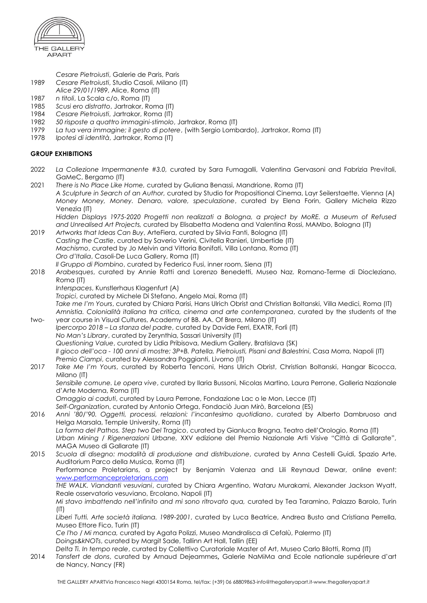

*Cesare Pietroiusti*, Galerie de Paris, Paris

- 1989 *Cesare Pietroiusti*, Studio Casoli, Milano (IT)
- *Alice 29/01/1989*, Alice, Roma (IT)
- 1987 *n titoli*, La Scala c/o, Roma (IT)
- 1985 *Scusi ero distratto*, Jartrakor, Roma (IT)
- 1984 *Cesare Pietroiusti*, Jartrakor, Roma (IT)
- 1982 *50 risposte a quattro immagini-stimolo*, Jartrakor, Roma (IT)
- 1979 *La tua vera immagine; il gesto di potere*, (with Sergio Lombardo), Jartrakor, Roma (IT)
- 1978 *Ipotesi di identità*, Jartrakor, Roma (IT)

#### **GROUP EXHIBITIONS**

- 2022 *La Collezione Impermanente #3.0,* curated by Sara Fumagalli, Valentina Gervasoni and Fabrizia Previtali, GaMeC, Bergamo (IT)
- 2021 *There is No Place Like Home,* curated by Guliana Benassi, Mandrione, Roma (IT) *A Sculpture in Search of an Author,* curated by Studio for Propositional Cinema, Layr Seilerstaette, Vienna (A) *Money Money, Money. Denaro, valore, speculazione*, curated by Elena Forin, Gallery Michela Rizzo Venezia (IT) *Hidden Displays 1975-2020 Progetti non realizzati a Bologna, a project by MoRE. a Museum of Refused and Unrealised Art Projects,* curated by Elisabetta Modena and Valentina Rossi, MAMbo, Bologna (IT)
- 2019 *Artworks that Ideas Can Buy*, ArteFiera, curated by Silvia Fanti, Bologna (IT) *Casting the Castle*, curated by Saverio Verini, Civitella Ranieri, Umbertide (IT) *Machismo*, curated by Jo Melvin and Vittoria Bonifati, Villa Lontana, Roma (IT) *Oro d'Italia*, Casoli-De Luca Gallery, Roma (IT)
- *Il Gruppo di Piombino*, curated by Federico Fusi, inner room, Siena (IT) 2018 *Arabesques*, curated by Annie Ratti and Lorenzo Benedetti, Museo Naz. Romano-Terme di Diocleziano, Roma (IT)
	- *Interspaces*, Kunstlerhaus Klagenfurt (A)
	- *Tropici*, curated by Michele Di Stefano, Angelo Mai, Roma (IT)

*Take me I'm Yours*, curated by Chiara Parisi, Hans Ulrich Obrist and Christian Boltanski, Villa Medici, Roma (IT) *Amnistia. Colonialità italiana tra critica, cinema and arte contemporanea*, curated by the students of the two- year course in Visual Cultures, Academy of BB. AA. Of Brera, Milano (IT)

- *Ipercorpo 2018 – La stanza del padre*, curated by Davide Ferri, EXATR, Forlì (IT) *No Man's Library*, curated by Zerynthia, Sassari University (IT) *Questioning Value*, curated by Lidia Pribisova, Medium Gallery, Bratislava (SK) *Il gioco dell'oca - 100 anni di mostre; 3P+B. Patella, Pietroiusti, Pisani and Balestrini*, Casa Morra, Napoli (IT) *Premio Ciampi*, curated by Alessandra Poggianti, Livorno (IT)
- 2017 *Take Me I'm Yours*, curated by Roberta Tenconi, Hans Ulrich Obrist, Christian Boltanski, Hangar Bicocca, Milano (IT)

*Sensibile comune. Le opera vive*, curated by Ilaria Bussoni, Nicolas Martino, Laura Perrone, Galleria Nazionale d'Arte Moderna, Roma (IT)

*Omaggio ai caduti*, curated by Laura Perrone, Fondazione Lac o le Mon, Lecce (IT)

*Self-Organizatio*n, curated by Antonio Ortega, Fondaciò Juan Mirò, Barcelona (ES)

- 2016 *Anni '80/'90. Oggetti, processi, relazioni: l'incantesimo quotidiano*, curated by Alberto Dambruoso and Helga Marsala, Temple University, Roma (IT) *La forma del Pathos. Step two Del Tragico*, curated by Gianluca Brogna, Teatro dell'Orologio, Roma (IT)
	- *Urban Mining / Rigenerazioni Urbane,* XXV edizione del Premio Nazionale Arti Visive "Città di Gallarate", MAGA Museo di Gallarate (IT)
- 2015 *Scuola di disegno: modalità di produzione and distribuzione*, curated by Anna Cestelli Guidi, Spazio Arte, Auditorium Parco della Musica, Roma (IT)

Performance Proletarians, a project by Benjamin Valenza and Lili Reynaud Dewar, online event: [www.performanceproletarians.com](http://www.performanceproletarians.com/)

*THE WALK. Viandanti vesuviani*, curated by Chiara Argentino, Wataru Murakami, Alexander Jackson Wyatt, Reale osservatorio vesuviano, Ercolano, Napoli (IT)

*Mi stavo imbattendo nell'infinito and mi sono ritrovato qua,* curated by Tea Taramino, Palazzo Barolo, Turin (IT)

*Liberi Tutti. Arte società italiana. 1989-2001*, curated by Luca Beatrice, Andrea Busto and Cristiana Perrella, Museo Ettore Fico, Turin (IT)

*Ce l'ho / Mi manca,* curated by Agata Polizzi, Museo Mandralisca di Cefalù, Palermo (IT)

*Doings&kNOTs*, curated by Margit Sade, Tallinn Art Hall, Tallin (EE)

*Delta Ti. In tempo reale*, curated by Collettivo Curatoriale Master of Art, Museo Carlo Bilotti, Roma (IT)

2014 *Tansfert de dons*, curated by Arnaud Dejeammes**,** Galerie NaMiMa and Ecole nationale supérieure d'art de Nancy, Nancy (FR)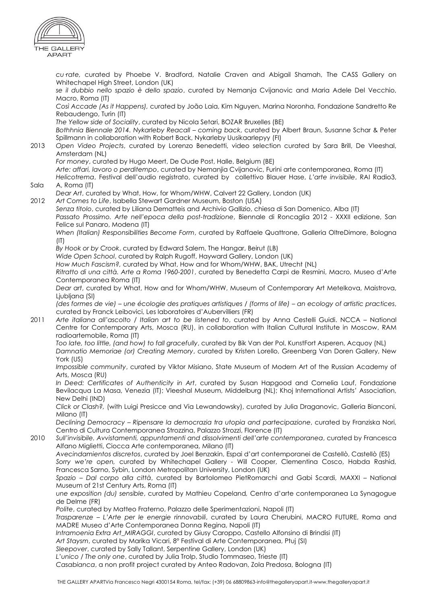

*cu·rate,* curated by Phoebe V. Bradford, Natalie Craven and Abigail Shamah, The CASS Gallery on Whitechapel High Street, London (UK) *se il dubbio nello spazio è dello spazio*, curated by Nemanja Cvijanovic and Maria Adele Del Vecchio, Macro, Roma (IT) *Così Accade (As it Happens),* curated by João Laia, Kim Nguyen, Marina Noronha, Fondazione Sandretto Re Rebaudengo, Turin (IT) *The Yellow side of Sociality*, curated by Nicola Setari, BOZAR Bruxelles (BE) *Bothhnia Biennale 2014. Nykarleby Reacall – coming back*, curated by Albert Braun, Susanne Schar & Peter Spillmann in collaboration with Robert Back, Nykarleby Uusikaarlepyy (FI) 2013 *Open Video Projects*, curated by Lorenzo Benedetti, video selection curated by Sara Brill, De Vleeshal, Amsterdam (NL) *For money*, curated by Hugo Meert, De Oude Post, Halle, Belgium (BE) *Arte: affari, lavoro o perditempo*, curated by Nemanjia Cvijanovic, Furini arte contemporanea, Roma (IT) *Helicotrema*, Festival dell'audio registrato, curated by collettivo Blauer Hase, *L'arte invisibile*, RAI Radio3, Sala A, Roma (IT) *Dear Art*, curated by What, How, for Whom/WHW, Calvert 22 Gallery, London (UK) 2012 *Art Comes to Life*, Isabella Stewart Gardner Museum, Boston (USA) *Senza titolo*, curated by Liliana Dematteis and Archivio Gallizio, chiesa di San Domenico, Alba (IT) *Passato Prossimo. Arte nell'epoca della post-tradizione*, Biennale di Roncaglia 2012 - XXXII edizione, San Felice sul Panaro, Modena (IT) *When (Italian) Responsibilities Become Form*, curated by Raffaele Quattrone, Galleria OltreDimore, Bologna  $(IT)$ *By Hook or by Crook*, curated by Edward Salem, The Hangar, Beirut (LB) *Wide Open School*, curated by Ralph Rugoff, Hayward Gallery, London (UK) *How Much Fascism?,* curated by What, How and for Whom/WHW, BAK, Utrecht (NL) *Ritratto di una città. Arte a Roma 1960-2001*, curated by Benedetta Carpi de Resmini, Macro, Museo d'Arte Contemporanea Roma (IT) *Dear art*, curated by What, How and for Whom/WHW, Museum of Contemporary Art Metelkova, Maistrova, Ljubljana (SI) *(des formes de vie) – une écologie des pratiques artistiques / (forms of life) – an ecology of artistic practices*, curated by Franck Leibovici, Les laboratoires d'Aubervilliers (FR) 2011 *Arte italiana all'ascolto / Italian art to be listened to*, curated by Anna Cestelli Guidi. NCCA – National Centre for Contemporary Arts, Mosca (RU), in collaboration with Italian Cultural Institute in Moscow, RAM radioartemobile, Roma (IT) *Too late, too little, (and how) to fall gracefully*, curated by Bik Van der Pol, KunstFort Asperen, Acquoy (NL) *Damnatio Memoriae (or) Creating Memory*, curated by Kristen Lorello, Greenberg Van Doren Gallery, New York (US) *Impossible community*, curated by Viktor Misiano, State Museum of Modern Art of the Russian Academy of Arts, Mosca (RU) *In Deed: Certificates of Authenticity in Art*, curated by Susan Hapgood and Cornelia Lauf, Fondazione Bevilacqua La Masa, Venezia (IT); Vleeshal Museum, Middelburg (NL); Khoj International Artists' Association, New Delhi (IND) *Click or Clash?,* (with Luigi Presicce and Via Lewandowsky), curated by Julia Draganovic, Galleria Bianconi, Milano (IT) *Declining Democracy – Ripensare la democrazia tra utopia and partecipazione*, curated by Franziska Nori, Centro di Cultura Contemporanea Strozzina, Palazzo Strozzi, Florence (IT) 2010 *Sull'invisibile. Avvistamenti, appuntamenti and dissolvimenti dell'arte contemporanea*, curated by Francesca Alfano Miglietti, Ciocca Arte contemporanea, Milano (IT) *Avecindamientos discretos*, curated by Joel Benzakin, Espai d'art contemporanei de Castellò, Castellò (ES) *Sorry we're open,* curated by Whitechapel Gallery - Will Cooper, Clementina Cosco, Habda Rashid, Francesca Sarno, Sybin, London Metropolitan University, London (UK) *Spazio – Dal corpo alla città*, curated by Bartolomeo PietRomarchi and Gabi Scardi, MAXXI – National Museum of 21st Century Arts, Roma (IT) *une exposition (du) sensible*, curated by Mathieu Copeland*,* Centro d'arte contemporanea La Synagogue de Delme (FR) *Polite*, curated by Matteo Fraterno, Palazzo delle Sperimentazioni, Napoli (IT) *Trasparenze – L'Arte per le energie rinnovabili*, curated by Laura Cherubini, MACRO FUTURE, Roma and MADRE Museo d'Arte Contemporanea Donna Regina, Napoli (IT) *Intramoenia Extra Art\_MIRAGGI*, curated by Giusy Caroppo, Castello Alfonsino di Brindisi (IT) *Art Staysm*, curated by Marika Vicari, 8° Festival di Arte Contemporanea, Ptuj (SI) *Sleepover*, curated by Sally Tallant, Serpentine Gallery, London (UK) *L'unico / The only one*, curated by Julia Trolp, Studio Tommaseo, Trieste (IT) *Casabianca*, a non profit project curated by Anteo Radovan, Zola Predosa, Bologna (IT)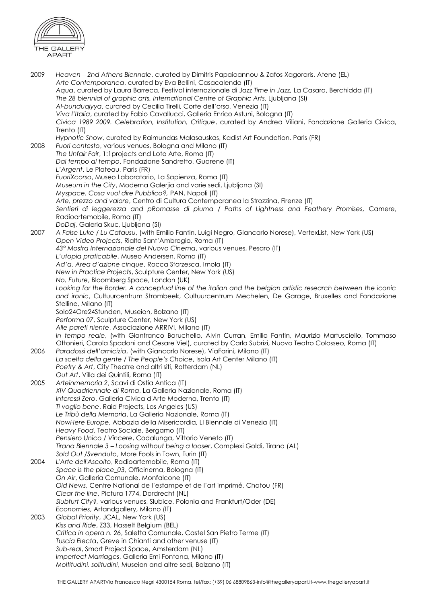

2009 *Heaven – 2nd Athens Biennale*, curated by Dimitris Papaioannou & Zafos Xagoraris, Atene (EL) *Arte Contemporanea*, curated by Eva Bellini, Casacalenda (IT) *Aqua*, curated by Laura Barreca, Festival internazionale di Jazz *Time in Jazz,* La Casara, Berchidda (IT) *The 28 biennial of graphic arts, International Centre of Graphic Arts*, Ljubljana (SI) *Al-bunduqiyya*, curated by Cecilia Tirelli, Corte dell'orso, Venezia (IT) *Viva l'Italia*, curated by Fabio Cavallucci, Galleria Enrico Astuni, Bologna (IT) *Civica 1989 2009. Celebration, Institution, Critique*, curated by Andrea Viliani, Fondazione Galleria Civica, Trento (IT) *Hypnotic Show*, curated by Raimundas Malasauskas, Kadist Art Foundation, Paris (FR) 2008 *Fuori contesto*, various venues, Bologna and Milano (IT) *The Unfair Fair*, 1:1projects and Loto Arte, Roma (IT) *Dai tempo al tempo*, Fondazione Sandretto, Guarene (IT) *L'Argent*, Le Plateau, Paris (FR) *FuoriXcorso*, Museo Laboratorio, La Sapienza, Roma (IT) *Museum in the City*, Moderna Galerjia and varie sedi, Ljubljana (SI) *Myspace. Cosa vuol dire Pubblico?,* PAN, Napoli (IT) *Arte, prezzo and valore*, Centro di Cultura Contemporanea la Strozzina, Firenze (IT) *Sentieri di leggerezza and pRomasse di piuma / Paths of Lightness and Feathery Promises,* Camere, Radioartemobile, Roma (IT) *DoDaj*, Galeria Skuc, Ljubljana (SI) 2007 *A False Luke / Lu Cafausu*, (with Emilio Fantin, Luigi Negro, Giancarlo Norese), VertexList, New York (US) *Open Video Projects*, Rialto Sant'Ambrogio, Roma (IT) *43° Mostra Internazionale del Nuovo Cinema*, various venues, Pesaro (IT) *L'utopia praticabile*, Museo Andersen, Roma (IT) *Ad'a. Area d'azione cinque*, Rocca Sforzesca, Imola (IT) *New in Practice Projects*, Sculpture Center, New York (US) *No, Future*, Bloomberg Space, London (UK) *Looking for the Border. A conceptual line of the italian and the belgian artistic research between the iconic and ironic*, Cultuurcentrum Strombeek, Cultuurcentrum Mechelen, De Garage, Bruxelles and Fondazione Stelline, Milano (IT) Solo24Ore24Stunden, Museion, Bolzano (IT) *Performa 07*, Sculpture Center, New York (US) *Alle pareti niente*, Associazione ARRIVI, Milano (IT) *In tempo reale*, (with Gianfranco Baruchello, Alvin Curran, Emilio Fantin, Maurizio Martusciello, Tommaso Ottonieri, Carola Spadoni and Cesare Viel), curated by Carla Subrizi, Nuovo Teatro Colosseo, Roma (IT) 2006 *Paradossi dell'amicizia*, (with Giancarlo Norese), ViaFarini, Milano (IT) *La scelta della gente / The People's Choice*, Isola Art Center Milano (IT) *Poetry & Art*, City Theatre and altri siti, Rotterdam (NL) *Out Art*, Villa dei Quintili, Roma (IT) 2005 *Arteinmemoria 2*, Scavi di Ostia Antica (IT) *XIV Quadriennale di Roma*, La Galleria Nazionale, Roma (IT) *Interessi Zero*, Galleria Civica d'Arte Moderna, Trento (IT) *Ti voglio bene*, Raid Projects, Los Angeles (US) *Le Tribù della Memoria*, La Galleria Nazionale, Roma (IT) *NowHere Europe*, Abbazia della Misericordia, LI Biennale di Venezia (IT) *Heavy Food*, Teatro Sociale, Bergamo (IT) *Pensiero Unico / Vincere*, Codalunga, Vittorio Veneto (IT) *Tirana Biennale 3 – Loosing without being a looser*, Complexi Goldi, Tirana (AL) *Sold Out /Svenduto*, More Fools in Town, Turin (IT) 2004 *L'Arte dell'Ascolto*, Radioartemobile, Roma (IT) *Space is the place\_03*, Officinema, Bologna (IT) *On Air*, Galleria Comunale, Monfalcone (IT) *Old News*, Centre National de l'estampe et de l'art imprimé, Chatou (FR) *Clear the line*, Pictura 1774, Dordrecht (NL) *Slubfurt City?,* various venues, Slubice, Polonia and Frankfurt/Oder (DE) *Economies*, Artandgallery, Milano (IT) 2003 *Global Priority*, JCAL, New York (US) *Kiss and Ride*, Z33, Hasselt Belgium (BEL) *Critica in opera n. 26*, Saletta Comunale, Castel San Pietro Terme (IT) *Tuscia Electa*, Greve in Chianti and other venuse (IT) *Sub-real*, Smart Project Space, Amsterdam (NL) *Imperfect Marriages*, Galleria Emi Fontana, Milano (IT) *Moltitudini, solitudini*, Museion and altre sedi, Bolzano (IT)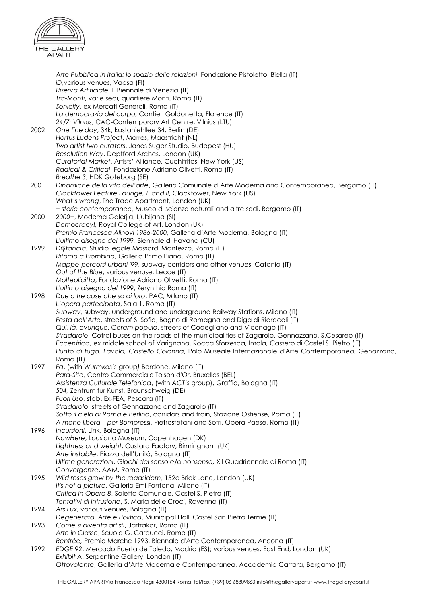

*Arte Pubblica in Italia: lo spazio delle relazioni*, Fondazione Pistoletto, Biella (IT) *iD*,various venues, Vaasa (FI) *Riserva Artificiale*, L Biennale di Venezia (IT) *Tra-Monti*, varie sedi, quartiere Monti, Roma (IT) *Sonicity*, ex-Mercati Generali, Roma (IT) *La democrazia del corpo,* Cantieri Goldonetta, Florence (IT) *24/7: Vilnius*, CAC-Contemporary Art Centre, Vilnius (LTU) 2002 *One fine day*, 34k, kastaniehllee 34, Berlin (DE) *Hortus Ludens Project*, Marres, Maastricht (NL) *Two artist two curators*, Janos Sugar Studio, Budapest (HU) *Resolution Way*, Deptford Arches, London (UK) *Curatorial Market*, Artists' Alliance, Cuchifritos, New York (US) *Radical & Critical*, Fondazione Adriano Olivetti, Roma (IT) *Breathe 3*, HDK Goteborg (SE) 2001 *Dinamiche della vita dell'arte*, Galleria Comunale d'Arte Moderna and Contemporanea, Bergamo (IT) *Clocktower Lecture Lounge, I and II*, Clocktower, New York (US) *What's wrong*, The Trade Apartment, London (UK) *+ storie contemporanee*, Museo di scienze naturali and altre sedi, Bergamo (IT) 2000 *2000+*, Moderna Galerjia, Ljubljana (SI) *Democracy!,* Royal College of Art, London (UK) *Premio Francesca Alinovi 1986-2000*, Galleria d'Arte Moderna, Bologna (IT) *L'ultimo disegno del 1999,* Biennale di Havana (CU) 1999 *Di\$tancia*, Studio legale Massardi Manfezzo, Roma (IT) *Ritorno a Piombino*, Galleria Primo Piano, Roma (IT) *Mappe-percorsi urbani '99*, subway corridors and other venues, Catania (IT) *Out of the Blue*, various venuse, Lecce (IT) *Molteplicittà*, Fondazione Adriano Olivetti, Roma (IT) *L'ultimo disegno del 1999*, Zerynthia Roma (IT) 1998 *Due o tre cose che so di loro*, PAC, Milano (IT) *L'opera partecipata*, Sala 1, Roma (IT) *Subway*, subway, underground and underground Railway Stations, Milano (IT) *Festa dell'Arte*, streets of S. Sofia, Bagno di Romagna and Diga di Ridracoli (IT) *Qui, là, ovunque. Coram populo*, streets of Codegliano and Viconago (IT) *Stradarolo*, Cotral buses on the roads of the municipalities of Zagarolo, Gennazzano, S.Cesareo (IT) *Eccentrica*, ex middle school of Varignana, Rocca Sforzesca, Imola, Cassero di Castel S. Pietro (IT) *Punto di fuga. Favola, Castello Colonna*, Polo Museale Internazionale d'Arte Contemporanea, Genazzano, Roma (IT) 1997 *Fa*, (with *Wurmkos's* group*)* Bordone, Milano (IT) *Para-Site*, Centro Commerciale Toison d'Or, Bruxelles (BEL) *Assistenza Culturale Telefonica*, (with *ACT's* group), Graffio, Bologna (IT) *504,* Zentrum fur Kunst, Braunschweig (DE) *Fuori Uso*, stab. Ex-FEA, Pescara (IT) *Stradarolo*, streets of Gennazzano and Zagarolo (IT) *Sotto il cielo di Roma e Berlino*, corridors and train, Stazione Ostiense, Roma (IT) *A mano libera – per Bompressi*, Pietrostefani and Sofri, Opera Paese, Roma (IT) 1996 *Incursioni*, Link, Bologna (IT) *NowHere*, Lousiana Museum, Copenhagen (DK) *Lightness and weight*, Custard Factory, Birmingham (UK) *Arte instabile*, Piazza dell'Unità, Bologna (IT) *Ultime generazioni*, *Giochi del senso e/o nonsenso,* XII Quadriennale di Roma (IT) *Convergenze*, AAM, Roma (IT) 1995 *Wild roses grow by the roadsidem*, 152c Brick Lane, London (UK) *It's not a picture*, Galleria Emi Fontana, Milano (IT) *Critica in Opera 8*, Saletta Comunale, Castel S. Pietro (IT) *Tentativi di intrusione*, S. Maria delle Croci, Ravenna (IT) 1994 *Ars Lux*, various venues, Bologna (IT) *Degenerata. Arte e Politica*, Municipal Hall, Castel San Pietro Terme (IT) 1993 *Come si diventa artisti*, Jartrakor, Roma (IT) *Arte in Classe*, Scuola G. Carducci, Roma (IT) *Rentrée,* Premio Marche 1993, Biennale d'Arte Contemporanea, Ancona (IT) 1992 *EDGE 92*, Mercado Puerta de Toledo, Madrid (ES); various venues, East End, London (UK) *Exhibit A*, Serpentine Gallery, London (IT) *Ottovolante*, Galleria d'Arte Moderna e Contemporanea, Accademia Carrara, Bergamo (IT)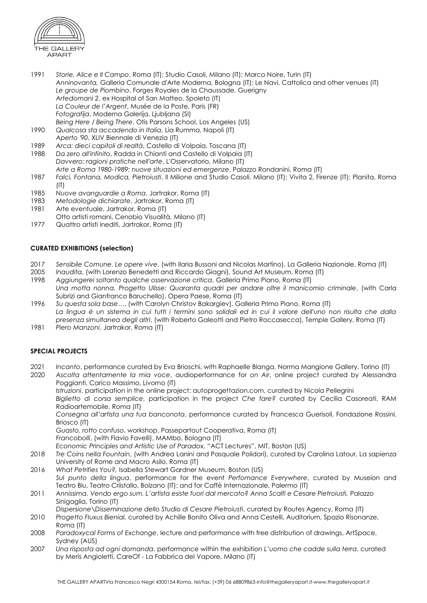

- 1991 *Storie, Alice e Il Campo*, Roma (IT); Studio Casoli, Milano (IT); Marco Noire, Turin (IT) *Anninovanta,* Galleria Comunale d'Arte Moderna, Bologna (IT); Le Navi, Cattolica and other venues (IT) *Le groupe de Piombino*, Forges Royales de la Chaussade, Guerigny *Artedomani 2*, ex Hospital of San Matteo, Spoleto (IT) *La Couleur de l'Argent*, Musée de la Poste, Paris (FR) *Fotografija*, Moderna Galerija, Ljubljana (SI) *Being Here / Being There*, Otis Parsons School, Los Angeles (US)
- 1990 *Qualcosa sta accadendo in Italia*, Lia Rumma, Napoli (IT) *Aperto '90*, XLIV Biennale di Venezia (IT)
- 1989 *Arca: dieci capitoli di realtà*, Castello di Volpaia, Toscana (IT)
- 1988 *Da zero all'infinito*, Radda in Chianti and Castello di Volpaia (IT) *Davvero: ragioni pratiche nell'arte*, L'Osservatorio, Milano (IT) *Arte a Roma 1980-1989: nuove situazioni ed emergenze*, Palazzo Rondanini, Roma (IT)
- 1987 *Falci, Fontana, Modica, Pietroiusti*, Il Milione and Studio Casoli, Milano (IT); Vivita 2, Firenze (IT); Planita, Roma  $(IT)$
- 1985 *Nuove avanguardie a Roma*, Jartrakor, Roma (IT)
- 1983 *Metodologie dichiarate*, Jartrakor, Roma (IT)
- 1981 Arte eventuale, Jartrakor, Roma (IT)
- Otto artisti romani, Cenobio Visualità, Milano (IT)
- 1977 Quattro artisti inediti, Jartrakor, Roma (IT)

#### **CURATED EXHIBITIONS (selection)**

- 2017 *Sensibile Comune. Le opere vive*, (with Ilaria Bussoni and Nicolas Martino), La Galleria Nazionale, Roma (IT)
- 2005 *Inaudita*, (with Lorenzo Benedetti and Riccardo Giagni), Sound Art Museum, Roma (IT)
- 1998 *Aggiungerei soltanto qualche osservazione critica*, Galleria Primo Piano, Roma (IT) *Una motta nonna. Progetto Ulisse: Quaranta quadri per andare oltre il manicomio criminale*, (with Carla Subrizi and Gianfranco Baruchello), Opera Paese, Roma (IT)
- 1996 *Su questa sola base…*, (with Carolyn Christov Bakargiev), Galleria Primo Piano, Roma (IT) *La lingua è un sistema in cui tutti i termini sono solidali ed in cui il valore dell'uno non risulta che dalla presenza simultanea degli altri*, (with Roberto Galeotti and Pietro Roccasecca), Temple Gallery, Roma (IT)
- 1981 *Piero Manzoni*, Jartrakor, Roma (IT)

#### **SPECIAL PROJECTS**

- 2021 *Incanto*, performance curated by Eva Brioschi, with Raphaelle Blanga, Norma Mangione Gallery, Torino (IT) 2020 *Ascolta attentamente la mia voce*, audioperformance for *on Air*, online project curated by Alessandra
	- Poggianti, Carico Massimo, Livorno (IT)

*Istruzioni*, participation in the online project: autoprogettazion.com, curated by Nicola Pellegrini *Biglietto di corsa semplice*, participation in the project *Che fare?* curated by Cecilia Casoreati, RAM Radioartemobile, Roma (IT)

*Consegna all'artista una tua banconota*, performance curated by Francesca Guerisoli, Fondazione Rossini, Briosco (IT)

*Guasto, rotto confuso*, workshop, Passepartout Cooperativa, Roma (IT)

*Francobolli*, (with Flavio Favelli), MAMbo, Bologna (IT)

*Economic Principles and Artistic Use of Paradox,* "ACT Lectures", MIT, Boston (US)

- 2018 *Tre Coins nella Fountain*, (with Andrea Lanini and Pasquale Polidori), curated by Carolina Latour, La sapienza University of Rome and Macro Asilo, Roma (IT)
- 2016 *What Petrifies You?,* Isabella Stewart Gardner Museum, Boston (US) *Sul punto della lingua*, performance for the event *Perfomance Everywhere*, curated by Museion and Teatro Blu, Teatro Criistallo, Bolzano (IT); and for Caffè Internazionale, Palermo (IT)
- 2011 *Annissima. Vendo ergo sum. L'artista esiste fuori dal mercato? Anna Scalfi e Cesare Pietroiusti,* Palazzo Sinigaglia, Torino (IT)

*Dispersione\Disseminazione dello Studio di Cesare Pietroiusti*, curated by Routes Agency, Roma (IT)

- 2010 *Progetto Fluxus Bienial,* curated by Achille Bonito Oliva and Anna Cestelli, Auditorium, Spazio Risonanze, Roma (IT)
- 2008 *Paradoxycal Forms of Exchange*, lecture and performance with free distribution of drawings, ArtSpace, Sydney (AUS)
- 2007 *Una risposta ad ogni domanda*, performance within the exhibition *L'uomo che cadde sulla terra*, curated by Meris Angioletti, CareOf - La Fabbrica del Vapore, Milano (IT)